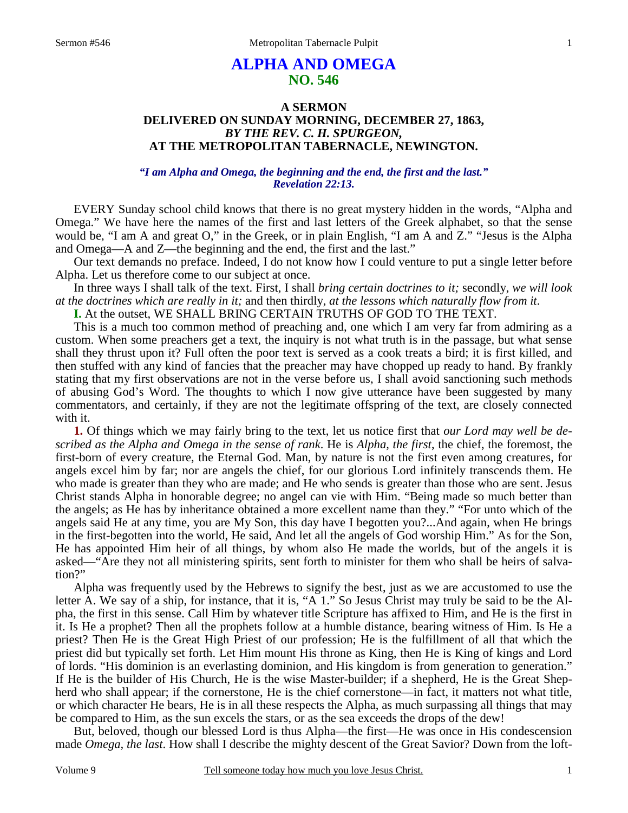## **ALPHA AND OMEGA NO. 546**

## **A SERMON DELIVERED ON SUNDAY MORNING, DECEMBER 27, 1863,**  *BY THE REV. C. H. SPURGEON,*  **AT THE METROPOLITAN TABERNACLE, NEWINGTON.**

## *"I am Alpha and Omega, the beginning and the end, the first and the last." Revelation 22:13.*

EVERY Sunday school child knows that there is no great mystery hidden in the words, "Alpha and Omega." We have here the names of the first and last letters of the Greek alphabet, so that the sense would be, "I am A and great O," in the Greek, or in plain English, "I am A and Z." "Jesus is the Alpha and Omega—A and Z—the beginning and the end, the first and the last."

Our text demands no preface. Indeed, I do not know how I could venture to put a single letter before Alpha. Let us therefore come to our subject at once.

In three ways I shall talk of the text. First, I shall *bring certain doctrines to it;* secondly, *we will look at the doctrines which are really in it;* and then thirdly, *at the lessons which naturally flow from it*.

**I.** At the outset, WE SHALL BRING CERTAIN TRUTHS OF GOD TO THE TEXT.

This is a much too common method of preaching and, one which I am very far from admiring as a custom. When some preachers get a text, the inquiry is not what truth is in the passage, but what sense shall they thrust upon it? Full often the poor text is served as a cook treats a bird; it is first killed, and then stuffed with any kind of fancies that the preacher may have chopped up ready to hand. By frankly stating that my first observations are not in the verse before us, I shall avoid sanctioning such methods of abusing God's Word. The thoughts to which I now give utterance have been suggested by many commentators, and certainly, if they are not the legitimate offspring of the text, are closely connected with it.

**1.** Of things which we may fairly bring to the text, let us notice first that *our Lord may well be described as the Alpha and Omega in the sense of rank*. He is *Alpha, the first*, the chief, the foremost, the first-born of every creature, the Eternal God. Man, by nature is not the first even among creatures, for angels excel him by far; nor are angels the chief, for our glorious Lord infinitely transcends them. He who made is greater than they who are made; and He who sends is greater than those who are sent. Jesus Christ stands Alpha in honorable degree; no angel can vie with Him. "Being made so much better than the angels; as He has by inheritance obtained a more excellent name than they." "For unto which of the angels said He at any time, you are My Son, this day have I begotten you?...And again, when He brings in the first-begotten into the world, He said, And let all the angels of God worship Him." As for the Son, He has appointed Him heir of all things, by whom also He made the worlds, but of the angels it is asked—"Are they not all ministering spirits, sent forth to minister for them who shall be heirs of salvation?"

Alpha was frequently used by the Hebrews to signify the best, just as we are accustomed to use the letter A. We say of a ship, for instance, that it is, "A 1." So Jesus Christ may truly be said to be the Alpha, the first in this sense. Call Him by whatever title Scripture has affixed to Him, and He is the first in it. Is He a prophet? Then all the prophets follow at a humble distance, bearing witness of Him. Is He a priest? Then He is the Great High Priest of our profession; He is the fulfillment of all that which the priest did but typically set forth. Let Him mount His throne as King, then He is King of kings and Lord of lords. "His dominion is an everlasting dominion, and His kingdom is from generation to generation." If He is the builder of His Church, He is the wise Master-builder; if a shepherd, He is the Great Shepherd who shall appear; if the cornerstone, He is the chief cornerstone—in fact, it matters not what title, or which character He bears, He is in all these respects the Alpha, as much surpassing all things that may be compared to Him, as the sun excels the stars, or as the sea exceeds the drops of the dew!

But, beloved, though our blessed Lord is thus Alpha—the first—He was once in His condescension made *Omega, the last*. How shall I describe the mighty descent of the Great Savior? Down from the loft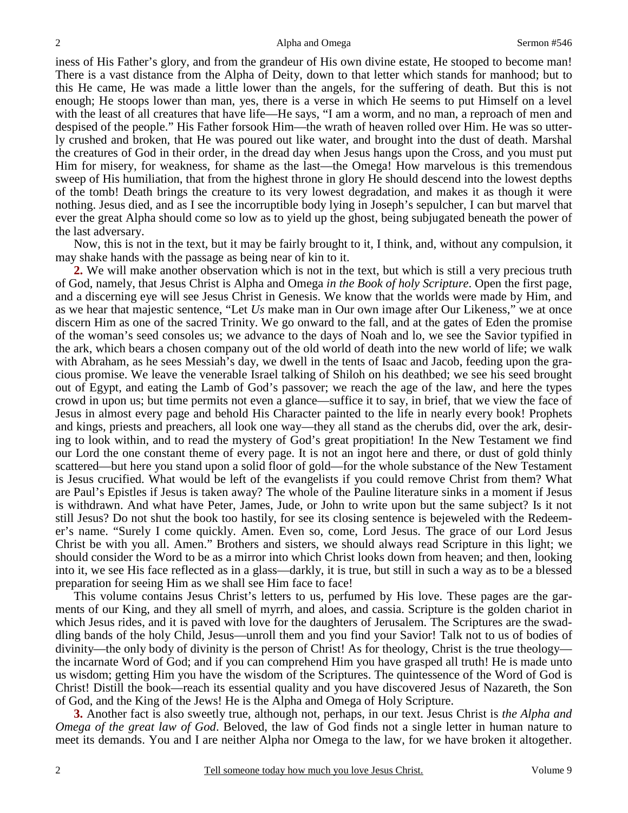iness of His Father's glory, and from the grandeur of His own divine estate, He stooped to become man! There is a vast distance from the Alpha of Deity, down to that letter which stands for manhood; but to this He came, He was made a little lower than the angels, for the suffering of death. But this is not enough; He stoops lower than man, yes, there is a verse in which He seems to put Himself on a level with the least of all creatures that have life—He says, "I am a worm, and no man, a reproach of men and despised of the people." His Father forsook Him—the wrath of heaven rolled over Him. He was so utterly crushed and broken, that He was poured out like water, and brought into the dust of death. Marshal the creatures of God in their order, in the dread day when Jesus hangs upon the Cross, and you must put Him for misery, for weakness, for shame as the last—the Omega! How marvelous is this tremendous sweep of His humiliation, that from the highest throne in glory He should descend into the lowest depths of the tomb! Death brings the creature to its very lowest degradation, and makes it as though it were nothing. Jesus died, and as I see the incorruptible body lying in Joseph's sepulcher, I can but marvel that ever the great Alpha should come so low as to yield up the ghost, being subjugated beneath the power of the last adversary.

Now, this is not in the text, but it may be fairly brought to it, I think, and, without any compulsion, it may shake hands with the passage as being near of kin to it.

**2.** We will make another observation which is not in the text, but which is still a very precious truth of God, namely, that Jesus Christ is Alpha and Omega *in the Book of holy Scripture*. Open the first page, and a discerning eye will see Jesus Christ in Genesis. We know that the worlds were made by Him, and as we hear that majestic sentence, "Let *Us* make man in Our own image after Our Likeness," we at once discern Him as one of the sacred Trinity. We go onward to the fall, and at the gates of Eden the promise of the woman's seed consoles us; we advance to the days of Noah and lo, we see the Savior typified in the ark, which bears a chosen company out of the old world of death into the new world of life; we walk with Abraham, as he sees Messiah's day, we dwell in the tents of Isaac and Jacob, feeding upon the gracious promise. We leave the venerable Israel talking of Shiloh on his deathbed; we see his seed brought out of Egypt, and eating the Lamb of God's passover; we reach the age of the law, and here the types crowd in upon us; but time permits not even a glance—suffice it to say, in brief, that we view the face of Jesus in almost every page and behold His Character painted to the life in nearly every book! Prophets and kings, priests and preachers, all look one way—they all stand as the cherubs did, over the ark, desiring to look within, and to read the mystery of God's great propitiation! In the New Testament we find our Lord the one constant theme of every page. It is not an ingot here and there, or dust of gold thinly scattered—but here you stand upon a solid floor of gold—for the whole substance of the New Testament is Jesus crucified. What would be left of the evangelists if you could remove Christ from them? What are Paul's Epistles if Jesus is taken away? The whole of the Pauline literature sinks in a moment if Jesus is withdrawn. And what have Peter, James, Jude, or John to write upon but the same subject? Is it not still Jesus? Do not shut the book too hastily, for see its closing sentence is bejeweled with the Redeemer's name. "Surely I come quickly. Amen. Even so, come, Lord Jesus. The grace of our Lord Jesus Christ be with you all. Amen." Brothers and sisters, we should always read Scripture in this light; we should consider the Word to be as a mirror into which Christ looks down from heaven; and then, looking into it, we see His face reflected as in a glass—darkly, it is true, but still in such a way as to be a blessed preparation for seeing Him as we shall see Him face to face!

This volume contains Jesus Christ's letters to us, perfumed by His love. These pages are the garments of our King, and they all smell of myrrh, and aloes, and cassia. Scripture is the golden chariot in which Jesus rides, and it is paved with love for the daughters of Jerusalem. The Scriptures are the swaddling bands of the holy Child, Jesus—unroll them and you find your Savior! Talk not to us of bodies of divinity—the only body of divinity is the person of Christ! As for theology, Christ is the true theology the incarnate Word of God; and if you can comprehend Him you have grasped all truth! He is made unto us wisdom; getting Him you have the wisdom of the Scriptures. The quintessence of the Word of God is Christ! Distill the book—reach its essential quality and you have discovered Jesus of Nazareth, the Son of God, and the King of the Jews! He is the Alpha and Omega of Holy Scripture.

**3.** Another fact is also sweetly true, although not, perhaps, in our text. Jesus Christ is *the Alpha and Omega of the great law of God*. Beloved, the law of God finds not a single letter in human nature to meet its demands. You and I are neither Alpha nor Omega to the law, for we have broken it altogether.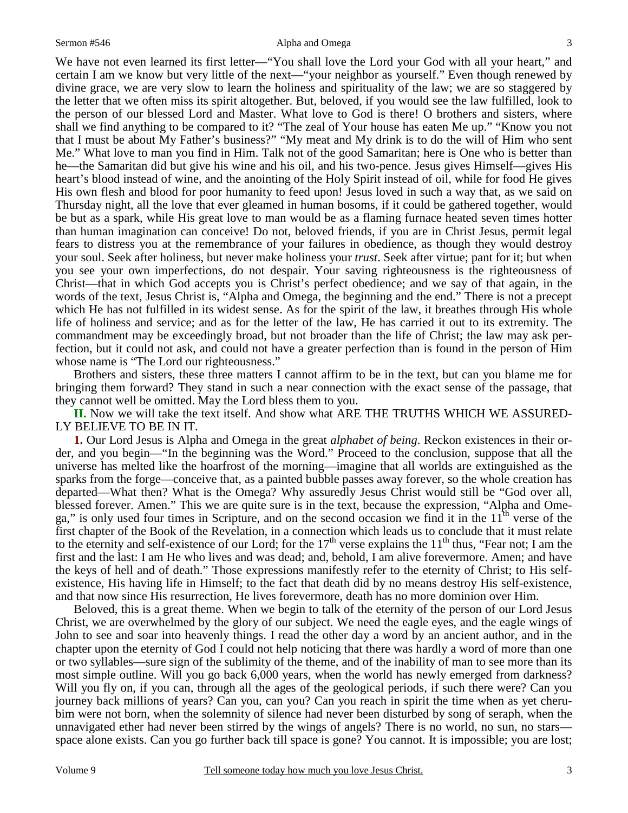#### Sermon #546 Alpha and Omega

We have not even learned its first letter—"You shall love the Lord your God with all your heart," and certain I am we know but very little of the next—"your neighbor as yourself." Even though renewed by divine grace, we are very slow to learn the holiness and spirituality of the law; we are so staggered by the letter that we often miss its spirit altogether. But, beloved, if you would see the law fulfilled, look to the person of our blessed Lord and Master. What love to God is there! O brothers and sisters, where shall we find anything to be compared to it? "The zeal of Your house has eaten Me up." "Know you not that I must be about My Father's business?" "My meat and My drink is to do the will of Him who sent Me." What love to man you find in Him. Talk not of the good Samaritan; here is One who is better than he—the Samaritan did but give his wine and his oil, and his two-pence. Jesus gives Himself—gives His heart's blood instead of wine, and the anointing of the Holy Spirit instead of oil, while for food He gives His own flesh and blood for poor humanity to feed upon! Jesus loved in such a way that, as we said on Thursday night, all the love that ever gleamed in human bosoms, if it could be gathered together, would be but as a spark, while His great love to man would be as a flaming furnace heated seven times hotter than human imagination can conceive! Do not, beloved friends, if you are in Christ Jesus, permit legal fears to distress you at the remembrance of your failures in obedience, as though they would destroy your soul. Seek after holiness, but never make holiness your *trust*. Seek after virtue; pant for it; but when you see your own imperfections, do not despair. Your saving righteousness is the righteousness of Christ—that in which God accepts you is Christ's perfect obedience; and we say of that again, in the words of the text, Jesus Christ is, "Alpha and Omega, the beginning and the end." There is not a precept which He has not fulfilled in its widest sense. As for the spirit of the law, it breathes through His whole life of holiness and service; and as for the letter of the law, He has carried it out to its extremity. The commandment may be exceedingly broad, but not broader than the life of Christ; the law may ask perfection, but it could not ask, and could not have a greater perfection than is found in the person of Him whose name is "The Lord our righteousness."

Brothers and sisters, these three matters I cannot affirm to be in the text, but can you blame me for bringing them forward? They stand in such a near connection with the exact sense of the passage, that they cannot well be omitted. May the Lord bless them to you.

**II.** Now we will take the text itself. And show what ARE THE TRUTHS WHICH WE ASSURED-LY BELIEVE TO BE IN IT.

**1.** Our Lord Jesus is Alpha and Omega in the great *alphabet of being*. Reckon existences in their order, and you begin—"In the beginning was the Word." Proceed to the conclusion, suppose that all the universe has melted like the hoarfrost of the morning—imagine that all worlds are extinguished as the sparks from the forge—conceive that, as a painted bubble passes away forever, so the whole creation has departed—What then? What is the Omega? Why assuredly Jesus Christ would still be "God over all, blessed forever. Amen." This we are quite sure is in the text, because the expression, "Alpha and Omega," is only used four times in Scripture, and on the second occasion we find it in the  $11<sup>th</sup>$  verse of the first chapter of the Book of the Revelation, in a connection which leads us to conclude that it must relate to the eternity and self-existence of our Lord; for the  $17<sup>th</sup>$  verse explains the  $11<sup>th</sup>$  thus, "Fear not; I am the first and the last: I am He who lives and was dead; and, behold, I am alive forevermore. Amen; and have the keys of hell and of death." Those expressions manifestly refer to the eternity of Christ; to His selfexistence, His having life in Himself; to the fact that death did by no means destroy His self-existence, and that now since His resurrection, He lives forevermore, death has no more dominion over Him.

Beloved, this is a great theme. When we begin to talk of the eternity of the person of our Lord Jesus Christ, we are overwhelmed by the glory of our subject. We need the eagle eyes, and the eagle wings of John to see and soar into heavenly things. I read the other day a word by an ancient author, and in the chapter upon the eternity of God I could not help noticing that there was hardly a word of more than one or two syllables—sure sign of the sublimity of the theme, and of the inability of man to see more than its most simple outline. Will you go back 6,000 years, when the world has newly emerged from darkness? Will you fly on, if you can, through all the ages of the geological periods, if such there were? Can you journey back millions of years? Can you, can you? Can you reach in spirit the time when as yet cherubim were not born, when the solemnity of silence had never been disturbed by song of seraph, when the unnavigated ether had never been stirred by the wings of angels? There is no world, no sun, no stars space alone exists. Can you go further back till space is gone? You cannot. It is impossible; you are lost;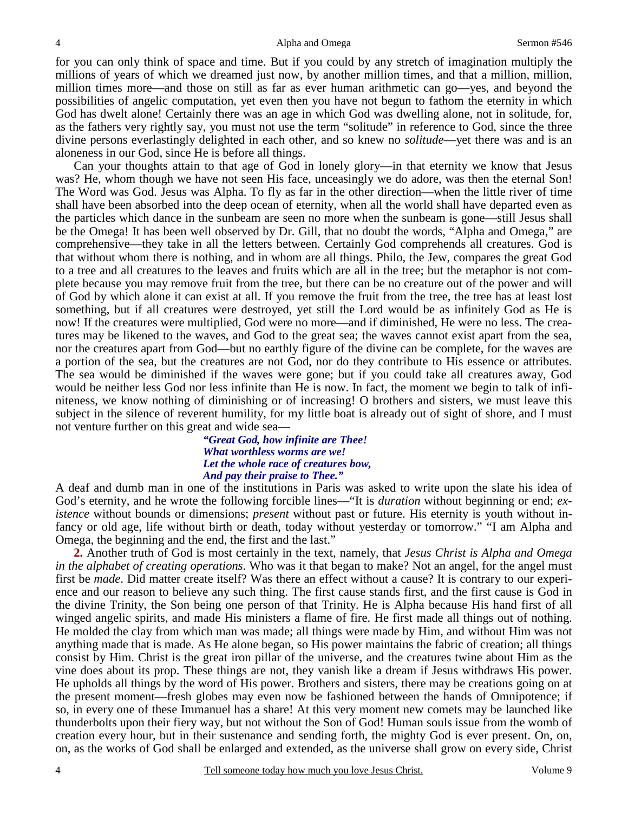for you can only think of space and time. But if you could by any stretch of imagination multiply the millions of years of which we dreamed just now, by another million times, and that a million, million, million times more—and those on still as far as ever human arithmetic can go—yes, and beyond the possibilities of angelic computation, yet even then you have not begun to fathom the eternity in which God has dwelt alone! Certainly there was an age in which God was dwelling alone, not in solitude, for, as the fathers very rightly say, you must not use the term "solitude" in reference to God, since the three divine persons everlastingly delighted in each other, and so knew no *solitude*—yet there was and is an aloneness in our God, since He is before all things.

Can your thoughts attain to that age of God in lonely glory—in that eternity we know that Jesus was? He, whom though we have not seen His face, unceasingly we do adore, was then the eternal Son! The Word was God. Jesus was Alpha. To fly as far in the other direction—when the little river of time shall have been absorbed into the deep ocean of eternity, when all the world shall have departed even as the particles which dance in the sunbeam are seen no more when the sunbeam is gone—still Jesus shall be the Omega! It has been well observed by Dr. Gill, that no doubt the words, "Alpha and Omega," are comprehensive—they take in all the letters between. Certainly God comprehends all creatures. God is that without whom there is nothing, and in whom are all things. Philo, the Jew, compares the great God to a tree and all creatures to the leaves and fruits which are all in the tree; but the metaphor is not complete because you may remove fruit from the tree, but there can be no creature out of the power and will of God by which alone it can exist at all. If you remove the fruit from the tree, the tree has at least lost something, but if all creatures were destroyed, yet still the Lord would be as infinitely God as He is now! If the creatures were multiplied, God were no more—and if diminished, He were no less. The creatures may be likened to the waves, and God to the great sea; the waves cannot exist apart from the sea, nor the creatures apart from God—but no earthly figure of the divine can be complete, for the waves are a portion of the sea, but the creatures are not God, nor do they contribute to His essence or attributes. The sea would be diminished if the waves were gone; but if you could take all creatures away, God would be neither less God nor less infinite than He is now. In fact, the moment we begin to talk of infiniteness, we know nothing of diminishing or of increasing! O brothers and sisters, we must leave this subject in the silence of reverent humility, for my little boat is already out of sight of shore, and I must not venture further on this great and wide sea—

### *"Great God, how infinite are Thee! What worthless worms are we! Let the whole race of creatures bow, And pay their praise to Thee."*

A deaf and dumb man in one of the institutions in Paris was asked to write upon the slate his idea of God's eternity, and he wrote the following forcible lines—"It is *duration* without beginning or end; *existence* without bounds or dimensions; *present* without past or future. His eternity is youth without infancy or old age, life without birth or death, today without yesterday or tomorrow." "I am Alpha and Omega, the beginning and the end, the first and the last."

**2.** Another truth of God is most certainly in the text, namely, that *Jesus Christ is Alpha and Omega in the alphabet of creating operations*. Who was it that began to make? Not an angel, for the angel must first be *made*. Did matter create itself? Was there an effect without a cause? It is contrary to our experience and our reason to believe any such thing. The first cause stands first, and the first cause is God in the divine Trinity, the Son being one person of that Trinity. He is Alpha because His hand first of all winged angelic spirits, and made His ministers a flame of fire. He first made all things out of nothing. He molded the clay from which man was made; all things were made by Him, and without Him was not anything made that is made. As He alone began, so His power maintains the fabric of creation; all things consist by Him. Christ is the great iron pillar of the universe, and the creatures twine about Him as the vine does about its prop. These things are not, they vanish like a dream if Jesus withdraws His power. He upholds all things by the word of His power. Brothers and sisters, there may be creations going on at the present moment—fresh globes may even now be fashioned between the hands of Omnipotence; if so, in every one of these Immanuel has a share! At this very moment new comets may be launched like thunderbolts upon their fiery way, but not without the Son of God! Human souls issue from the womb of creation every hour, but in their sustenance and sending forth, the mighty God is ever present. On, on, on, as the works of God shall be enlarged and extended, as the universe shall grow on every side, Christ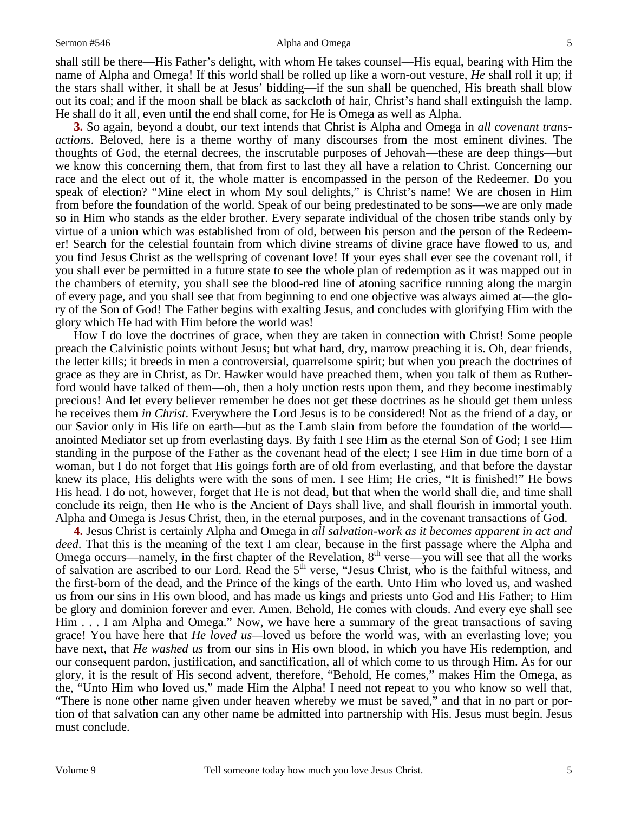#### Sermon #546 Alpha and Omega

shall still be there—His Father's delight, with whom He takes counsel—His equal, bearing with Him the name of Alpha and Omega! If this world shall be rolled up like a worn-out vesture, *He* shall roll it up; if the stars shall wither, it shall be at Jesus' bidding—if the sun shall be quenched, His breath shall blow out its coal; and if the moon shall be black as sackcloth of hair, Christ's hand shall extinguish the lamp. He shall do it all, even until the end shall come, for He is Omega as well as Alpha.

 **3.** So again, beyond a doubt, our text intends that Christ is Alpha and Omega in *all covenant transactions*. Beloved, here is a theme worthy of many discourses from the most eminent divines. The thoughts of God, the eternal decrees, the inscrutable purposes of Jehovah—these are deep things—but we know this concerning them, that from first to last they all have a relation to Christ. Concerning our race and the elect out of it, the whole matter is encompassed in the person of the Redeemer. Do you speak of election? "Mine elect in whom My soul delights," is Christ's name! We are chosen in Him from before the foundation of the world. Speak of our being predestinated to be sons—we are only made so in Him who stands as the elder brother. Every separate individual of the chosen tribe stands only by virtue of a union which was established from of old, between his person and the person of the Redeemer! Search for the celestial fountain from which divine streams of divine grace have flowed to us, and you find Jesus Christ as the wellspring of covenant love! If your eyes shall ever see the covenant roll, if you shall ever be permitted in a future state to see the whole plan of redemption as it was mapped out in the chambers of eternity, you shall see the blood-red line of atoning sacrifice running along the margin of every page, and you shall see that from beginning to end one objective was always aimed at—the glory of the Son of God! The Father begins with exalting Jesus, and concludes with glorifying Him with the glory which He had with Him before the world was!

How I do love the doctrines of grace, when they are taken in connection with Christ! Some people preach the Calvinistic points without Jesus; but what hard, dry, marrow preaching it is. Oh, dear friends, the letter kills; it breeds in men a controversial, quarrelsome spirit; but when you preach the doctrines of grace as they are in Christ, as Dr. Hawker would have preached them, when you talk of them as Rutherford would have talked of them—oh, then a holy unction rests upon them, and they become inestimably precious! And let every believer remember he does not get these doctrines as he should get them unless he receives them *in Christ*. Everywhere the Lord Jesus is to be considered! Not as the friend of a day, or our Savior only in His life on earth—but as the Lamb slain from before the foundation of the world anointed Mediator set up from everlasting days. By faith I see Him as the eternal Son of God; I see Him standing in the purpose of the Father as the covenant head of the elect; I see Him in due time born of a woman, but I do not forget that His goings forth are of old from everlasting, and that before the daystar knew its place, His delights were with the sons of men. I see Him; He cries, "It is finished!" He bows His head. I do not, however, forget that He is not dead, but that when the world shall die, and time shall conclude its reign, then He who is the Ancient of Days shall live, and shall flourish in immortal youth. Alpha and Omega is Jesus Christ, then, in the eternal purposes, and in the covenant transactions of God.

**4.** Jesus Christ is certainly Alpha and Omega in *all salvation-work as it becomes apparent in act and deed*. That this is the meaning of the text I am clear, because in the first passage where the Alpha and Omega occurs—namely, in the first chapter of the Revelation, 8<sup>th</sup> verse—you will see that all the works of salvation are ascribed to our Lord. Read the 5<sup>th</sup> verse, "Jesus Christ, who is the faithful witness, and the first-born of the dead, and the Prince of the kings of the earth. Unto Him who loved us, and washed us from our sins in His own blood, and has made us kings and priests unto God and His Father; to Him be glory and dominion forever and ever. Amen. Behold, He comes with clouds. And every eye shall see Him . . . I am Alpha and Omega." Now, we have here a summary of the great transactions of saving grace! You have here that *He loved us—*loved us before the world was, with an everlasting love; you have next, that *He washed us* from our sins in His own blood, in which you have His redemption, and our consequent pardon, justification, and sanctification, all of which come to us through Him. As for our glory, it is the result of His second advent, therefore, "Behold, He comes," makes Him the Omega, as the, "Unto Him who loved us," made Him the Alpha! I need not repeat to you who know so well that, "There is none other name given under heaven whereby we must be saved," and that in no part or portion of that salvation can any other name be admitted into partnership with His. Jesus must begin. Jesus must conclude.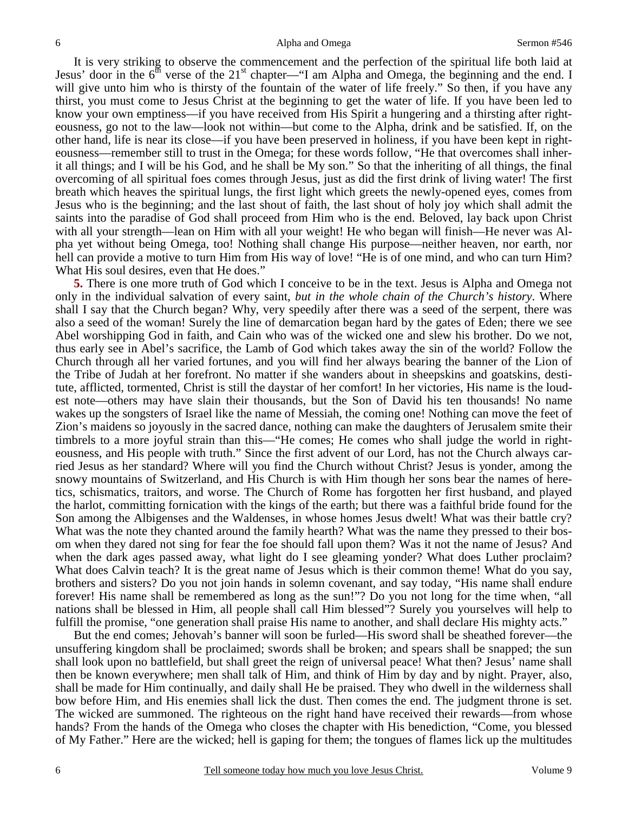It is very striking to observe the commencement and the perfection of the spiritual life both laid at Jesus' door in the  $6<sup>th</sup>$  verse of the 21<sup>st</sup> chapter—"I am Alpha and Omega, the beginning and the end. I will give unto him who is thirsty of the fountain of the water of life freely." So then, if you have any thirst, you must come to Jesus Christ at the beginning to get the water of life. If you have been led to know your own emptiness—if you have received from His Spirit a hungering and a thirsting after righteousness, go not to the law—look not within—but come to the Alpha, drink and be satisfied. If, on the other hand, life is near its close—if you have been preserved in holiness, if you have been kept in righteousness—remember still to trust in the Omega; for these words follow, "He that overcomes shall inherit all things; and I will be his God, and he shall be My son." So that the inheriting of all things, the final overcoming of all spiritual foes comes through Jesus, just as did the first drink of living water! The first breath which heaves the spiritual lungs, the first light which greets the newly-opened eyes, comes from Jesus who is the beginning; and the last shout of faith, the last shout of holy joy which shall admit the saints into the paradise of God shall proceed from Him who is the end. Beloved, lay back upon Christ with all your strength—lean on Him with all your weight! He who began will finish—He never was Alpha yet without being Omega, too! Nothing shall change His purpose—neither heaven, nor earth, nor hell can provide a motive to turn Him from His way of love! "He is of one mind, and who can turn Him? What His soul desires, even that He does."

**5.** There is one more truth of God which I conceive to be in the text. Jesus is Alpha and Omega not only in the individual salvation of every saint, *but in the whole chain of the Church's history*. Where shall I say that the Church began? Why, very speedily after there was a seed of the serpent, there was also a seed of the woman! Surely the line of demarcation began hard by the gates of Eden; there we see Abel worshipping God in faith, and Cain who was of the wicked one and slew his brother. Do we not, thus early see in Abel's sacrifice, the Lamb of God which takes away the sin of the world? Follow the Church through all her varied fortunes, and you will find her always bearing the banner of the Lion of the Tribe of Judah at her forefront. No matter if she wanders about in sheepskins and goatskins, destitute, afflicted, tormented, Christ is still the daystar of her comfort! In her victories, His name is the loudest note—others may have slain their thousands, but the Son of David his ten thousands! No name wakes up the songsters of Israel like the name of Messiah, the coming one! Nothing can move the feet of Zion's maidens so joyously in the sacred dance, nothing can make the daughters of Jerusalem smite their timbrels to a more joyful strain than this—"He comes; He comes who shall judge the world in righteousness, and His people with truth." Since the first advent of our Lord, has not the Church always carried Jesus as her standard? Where will you find the Church without Christ? Jesus is yonder, among the snowy mountains of Switzerland, and His Church is with Him though her sons bear the names of heretics, schismatics, traitors, and worse. The Church of Rome has forgotten her first husband, and played the harlot, committing fornication with the kings of the earth; but there was a faithful bride found for the Son among the Albigenses and the Waldenses, in whose homes Jesus dwelt! What was their battle cry? What was the note they chanted around the family hearth? What was the name they pressed to their bosom when they dared not sing for fear the foe should fall upon them? Was it not the name of Jesus? And when the dark ages passed away, what light do I see gleaming yonder? What does Luther proclaim? What does Calvin teach? It is the great name of Jesus which is their common theme! What do you say, brothers and sisters? Do you not join hands in solemn covenant, and say today, "His name shall endure forever! His name shall be remembered as long as the sun!"? Do you not long for the time when, "all nations shall be blessed in Him, all people shall call Him blessed"? Surely you yourselves will help to fulfill the promise, "one generation shall praise His name to another, and shall declare His mighty acts."

But the end comes; Jehovah's banner will soon be furled—His sword shall be sheathed forever—the unsuffering kingdom shall be proclaimed; swords shall be broken; and spears shall be snapped; the sun shall look upon no battlefield, but shall greet the reign of universal peace! What then? Jesus' name shall then be known everywhere; men shall talk of Him, and think of Him by day and by night. Prayer, also, shall be made for Him continually, and daily shall He be praised. They who dwell in the wilderness shall bow before Him, and His enemies shall lick the dust. Then comes the end. The judgment throne is set. The wicked are summoned. The righteous on the right hand have received their rewards—from whose hands? From the hands of the Omega who closes the chapter with His benediction, "Come, you blessed of My Father." Here are the wicked; hell is gaping for them; the tongues of flames lick up the multitudes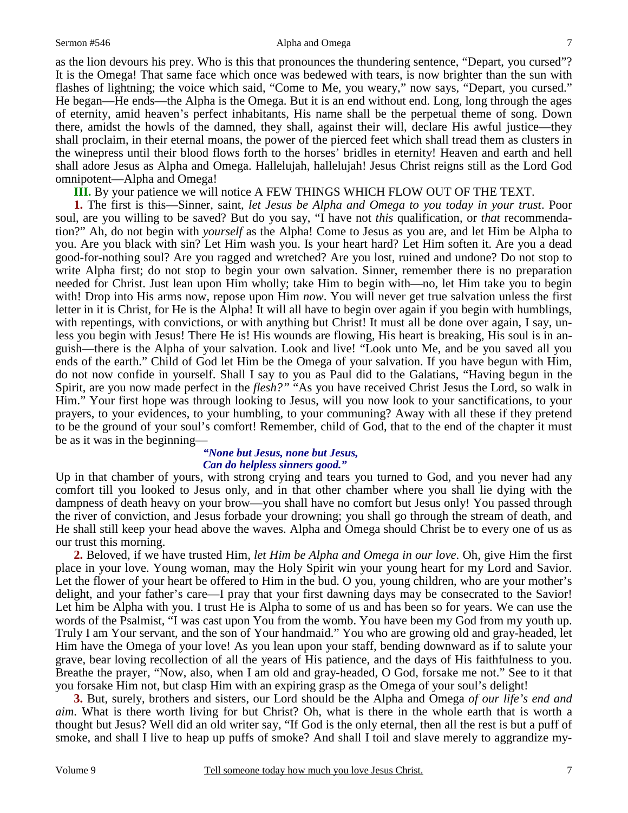#### Sermon #546 Alpha and Omega

as the lion devours his prey. Who is this that pronounces the thundering sentence, "Depart, you cursed"? It is the Omega! That same face which once was bedewed with tears, is now brighter than the sun with flashes of lightning; the voice which said, "Come to Me, you weary," now says, "Depart, you cursed." He began—He ends—the Alpha is the Omega. But it is an end without end. Long, long through the ages of eternity, amid heaven's perfect inhabitants, His name shall be the perpetual theme of song. Down there, amidst the howls of the damned, they shall, against their will, declare His awful justice—they shall proclaim, in their eternal moans, the power of the pierced feet which shall tread them as clusters in the winepress until their blood flows forth to the horses' bridles in eternity! Heaven and earth and hell shall adore Jesus as Alpha and Omega. Hallelujah, hallelujah! Jesus Christ reigns still as the Lord God omnipotent—Alpha and Omega!

**III.** By your patience we will notice A FEW THINGS WHICH FLOW OUT OF THE TEXT.

**1.** The first is this—Sinner, saint, *let Jesus be Alpha and Omega to you today in your trust*. Poor soul, are you willing to be saved? But do you say, "I have not *this* qualification, or *that* recommendation?" Ah, do not begin with *yourself* as the Alpha! Come to Jesus as you are, and let Him be Alpha to you. Are you black with sin? Let Him wash you. Is your heart hard? Let Him soften it. Are you a dead good-for-nothing soul? Are you ragged and wretched? Are you lost, ruined and undone? Do not stop to write Alpha first; do not stop to begin your own salvation. Sinner, remember there is no preparation needed for Christ. Just lean upon Him wholly; take Him to begin with—no, let Him take you to begin with! Drop into His arms now, repose upon Him *now*. You will never get true salvation unless the first letter in it is Christ, for He is the Alpha! It will all have to begin over again if you begin with humblings, with repentings, with convictions, or with anything but Christ! It must all be done over again, I say, unless you begin with Jesus! There He is! His wounds are flowing, His heart is breaking, His soul is in anguish—there is the Alpha of your salvation. Look and live! "Look unto Me, and be you saved all you ends of the earth." Child of God let Him be the Omega of your salvation. If you have begun with Him, do not now confide in yourself. Shall I say to you as Paul did to the Galatians, "Having begun in the Spirit, are you now made perfect in the *flesh?"* "As you have received Christ Jesus the Lord, so walk in Him." Your first hope was through looking to Jesus, will you now look to your sanctifications, to your prayers, to your evidences, to your humbling, to your communing? Away with all these if they pretend to be the ground of your soul's comfort! Remember, child of God, that to the end of the chapter it must be as it was in the beginning—

#### *"None but Jesus, none but Jesus, Can do helpless sinners good."*

Up in that chamber of yours, with strong crying and tears you turned to God, and you never had any comfort till you looked to Jesus only, and in that other chamber where you shall lie dying with the dampness of death heavy on your brow—you shall have no comfort but Jesus only! You passed through the river of conviction, and Jesus forbade your drowning; you shall go through the stream of death, and He shall still keep your head above the waves. Alpha and Omega should Christ be to every one of us as our trust this morning.

**2.** Beloved, if we have trusted Him, *let Him be Alpha and Omega in our love*. Oh, give Him the first place in your love. Young woman, may the Holy Spirit win your young heart for my Lord and Savior. Let the flower of your heart be offered to Him in the bud. O you, young children, who are your mother's delight, and your father's care—I pray that your first dawning days may be consecrated to the Savior! Let him be Alpha with you. I trust He is Alpha to some of us and has been so for years. We can use the words of the Psalmist, "I was cast upon You from the womb. You have been my God from my youth up. Truly I am Your servant, and the son of Your handmaid." You who are growing old and gray-headed, let Him have the Omega of your love! As you lean upon your staff, bending downward as if to salute your grave, bear loving recollection of all the years of His patience, and the days of His faithfulness to you. Breathe the prayer, "Now, also, when I am old and gray-headed, O God, forsake me not." See to it that you forsake Him not, but clasp Him with an expiring grasp as the Omega of your soul's delight!

**3.** But, surely, brothers and sisters, our Lord should be the Alpha and Omega *of our life's end and aim*. What is there worth living for but Christ? Oh, what is there in the whole earth that is worth a thought but Jesus? Well did an old writer say, "If God is the only eternal, then all the rest is but a puff of smoke, and shall I live to heap up puffs of smoke? And shall I toil and slave merely to aggrandize my